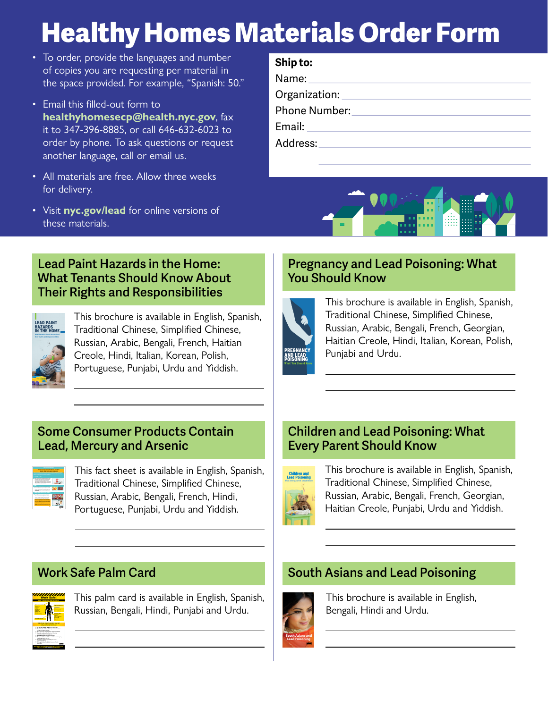# **Healthy Homes Materials Order Form**

- To order, provide the languages and number of copies you are requesting per material in the space provided. For example, "Spanish: 50."
- Email this filled-out form to **[healthyhomesecp@health.nyc.gov](mailto:healthyhomesecp%40health.nyc.gov?subject=)**, fax it to 347-396-8885, or call 646-632-6023 to order by phone. To ask questions or request another language, call or email us.
- All materials are free. Allow three weeks for delivery.
- Visit **[nyc.gov/lead](http://nyc.gov/lead)** for online versions of these materials.

# **Ship to:**

Name:

Organization:

Phone Number:

Email:

Address:



#### **Lead Paint Hazards in the Home: What Tenants Should Know About Their Rights and Responsibilities**



This brochure is available in English, Spanish, Traditional Chinese, Simplified Chinese, Russian, Arabic, Bengali, French, Haitian Creole, Hindi, Italian, Korean, Polish, Portuguese, Punjabi, Urdu and Yiddish. cheese, yogurt, spinach, baby formula or baby cereal, and for drinking or cooking. Call **311**  $sh, \quad \mathsf{\mid}$ cracked or loose paint – it may contain lead. Report peeling paint to your building owner. If the problem isn't fixed or if you think repair or renovation work is being done unsafely, call **311** to request • Wash floors, windowsills, hands • Remove shoes before entering • Have household members change into clean clothing before coming • Remind your provider to test your child for lead poisoning at ages 1 and 2 years. Ask your provider about testing older children. If you do not have a provider, call **311** to find out where to get your child tested. For more information about lead, call **311** or visit **nyc.gov/lead**.

#### **Pregnancy and Lead Poisoning: What You Should Know**



Protect your baby • Use cold tap water for making This brochure is available in English, Spanish, Traditional Chinese, Simplified Chinese, Russian, Arabic, Bengali, French, Georgian, Haitian Creole, Hindi, Italian, Korean, Polish, Punjabi and Urdu.

#### **Some Consumer Products Contain Lead, Mercury and Arsenic**



This fact sheet is available in English, Spanish, Traditional Chinese, Simplified Chinese, Russian, Arabic, Bengali, French, Hindi, Portuguese, Punjabi, Urdu and Yiddish.

# **Work Safe Palm Card**



This palm card is available in English, Spanish, Russian, Bengali, Hindi, Punjabi and Urdu.

## **Children and Lead Poisoning: What Every Parent Should Know**



This brochure is available in English, Spanish, Traditional Chinese, Simplified Chinese, Russian, Arabic, Bengali, French, Georgian, Haitian Creole, Punjabi, Urdu and Yiddish.

# **South Asians and Lead Poisoning**



This brochure is available in English, Bengali, Hindi and Urdu.